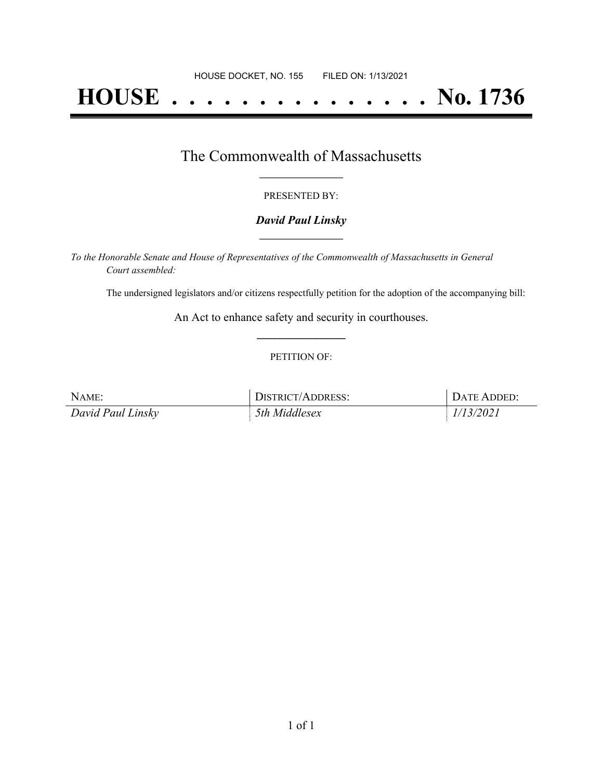# **HOUSE . . . . . . . . . . . . . . . No. 1736**

### The Commonwealth of Massachusetts **\_\_\_\_\_\_\_\_\_\_\_\_\_\_\_\_\_**

#### PRESENTED BY:

#### *David Paul Linsky* **\_\_\_\_\_\_\_\_\_\_\_\_\_\_\_\_\_**

*To the Honorable Senate and House of Representatives of the Commonwealth of Massachusetts in General Court assembled:*

The undersigned legislators and/or citizens respectfully petition for the adoption of the accompanying bill:

An Act to enhance safety and security in courthouses. **\_\_\_\_\_\_\_\_\_\_\_\_\_\_\_**

#### PETITION OF:

| NAME:             | <b>DISTRICT/ADDRESS:</b> | DATE ADDED: |
|-------------------|--------------------------|-------------|
| David Paul Linsky | 5th Middlesex            | 1/13/2021   |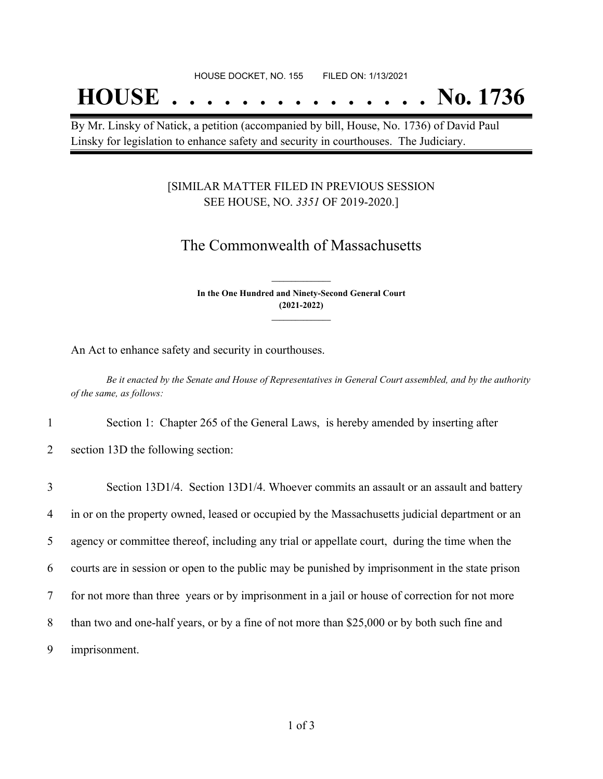## **HOUSE . . . . . . . . . . . . . . . No. 1736**

By Mr. Linsky of Natick, a petition (accompanied by bill, House, No. 1736) of David Paul Linsky for legislation to enhance safety and security in courthouses. The Judiciary.

#### [SIMILAR MATTER FILED IN PREVIOUS SESSION SEE HOUSE, NO. *3351* OF 2019-2020.]

## The Commonwealth of Massachusetts

**In the One Hundred and Ninety-Second General Court (2021-2022) \_\_\_\_\_\_\_\_\_\_\_\_\_\_\_**

**\_\_\_\_\_\_\_\_\_\_\_\_\_\_\_**

An Act to enhance safety and security in courthouses.

Be it enacted by the Senate and House of Representatives in General Court assembled, and by the authority *of the same, as follows:*

1 Section 1: Chapter 265 of the General Laws, is hereby amended by inserting after

2 section 13D the following section:

 Section 13D1/4. Section 13D1/4. Whoever commits an assault or an assault and battery in or on the property owned, leased or occupied by the Massachusetts judicial department or an agency or committee thereof, including any trial or appellate court, during the time when the courts are in session or open to the public may be punished by imprisonment in the state prison for not more than three years or by imprisonment in a jail or house of correction for not more than two and one-half years, or by a fine of not more than \$25,000 or by both such fine and imprisonment.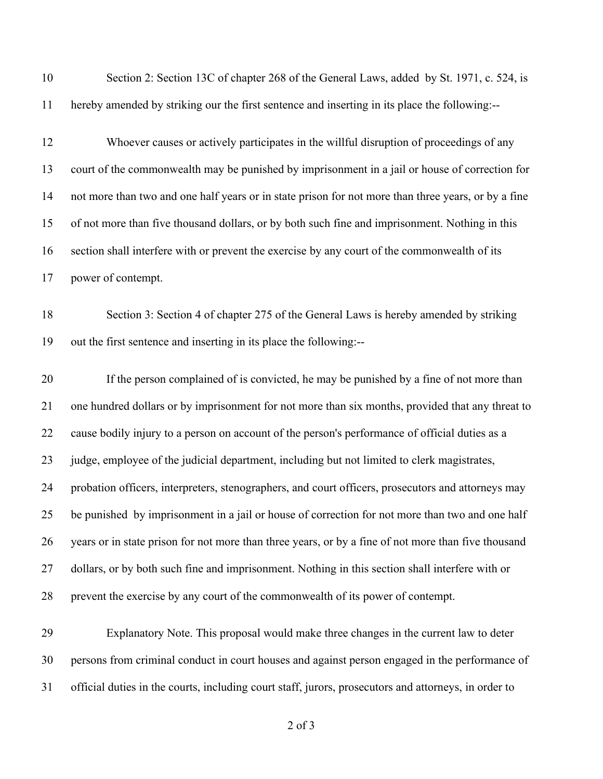| 10       | Section 2: Section 13C of chapter 268 of the General Laws, added by St. 1971, c. 524, is                                                                    |
|----------|-------------------------------------------------------------------------------------------------------------------------------------------------------------|
| 11       | hereby amended by striking our the first sentence and inserting in its place the following:--                                                               |
| 12       | Whoever causes or actively participates in the willful disruption of proceedings of any                                                                     |
| 13       | court of the commonwealth may be punished by imprisonment in a jail or house of correction for                                                              |
| 14       | not more than two and one half years or in state prison for not more than three years, or by a fine                                                         |
| 15       | of not more than five thousand dollars, or by both such fine and imprisonment. Nothing in this                                                              |
| 16       | section shall interfere with or prevent the exercise by any court of the commonwealth of its                                                                |
| 17       | power of contempt.                                                                                                                                          |
| 18<br>19 | Section 3: Section 4 of chapter 275 of the General Laws is hereby amended by striking<br>out the first sentence and inserting in its place the following:-- |
| 20       | If the person complained of is convicted, he may be punished by a fine of not more than                                                                     |
| 21       | one hundred dollars or by imprisonment for not more than six months, provided that any threat to                                                            |
| 22       | cause bodily injury to a person on account of the person's performance of official duties as a                                                              |
| 23       | judge, employee of the judicial department, including but not limited to clerk magistrates,                                                                 |
| 24       | probation officers, interpreters, stenographers, and court officers, prosecutors and attorneys may                                                          |
| 25       | be punished by imprisonment in a jail or house of correction for not more than two and one half                                                             |
| 26       | years or in state prison for not more than three years, or by a fine of not more than five thousand                                                         |
| 27       | dollars, or by both such fine and imprisonment. Nothing in this section shall interfere with or                                                             |
| 28       | prevent the exercise by any court of the commonwealth of its power of contempt.                                                                             |
| 29       | Explanatory Note. This proposal would make three changes in the current law to deter                                                                        |
| 30       | persons from criminal conduct in court houses and against person engaged in the performance of                                                              |

official duties in the courts, including court staff, jurors, prosecutors and attorneys, in order to

of 3